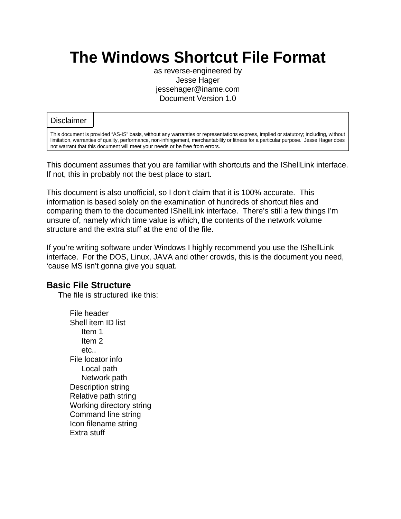# **The Windows Shortcut File Format**

as reverse-engineered by Jesse Hager jessehager@iname.com Document Version 1.0

#### **Disclaimer**

This document is provided "AS-IS" basis, without any warranties or representations express, implied or statutory; including, without limitation, warranties of quality, performance, non-infringement, merchantability or fitness for a particular purpose. Jesse Hager does not warrant that this document will meet your needs or be free from errors.

This document assumes that you are familiar with shortcuts and the IShellLink interface. If not, this in probably not the best place to start.

This document is also unofficial, so I don't claim that it is 100% accurate. This information is based solely on the examination of hundreds of shortcut files and comparing them to the documented IShellLink interface. There's still a few things I'm unsure of, namely which time value is which, the contents of the network volume structure and the extra stuff at the end of the file.

If you're writing software under Windows I highly recommend you use the IShellLink interface. For the DOS, Linux, JAVA and other crowds, this is the document you need, 'cause MS isn't gonna give you squat.

#### **Basic File Structure**

The file is structured like this:

File header Shell item ID list Item 1 Item 2 etc.. File locator info Local path Network path Description string Relative path string Working directory string Command line string Icon filename string Extra stuff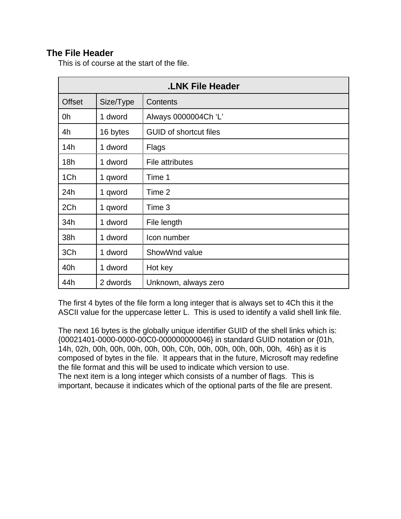# **The File Header**

This is of course at the start of the file.

| <b>LNK File Header</b> |           |                               |  |  |  |  |
|------------------------|-----------|-------------------------------|--|--|--|--|
| <b>Offset</b>          | Size/Type | Contents                      |  |  |  |  |
| 0h                     | 1 dword   | Always 0000004Ch 'L'          |  |  |  |  |
| 4h                     | 16 bytes  | <b>GUID of shortcut files</b> |  |  |  |  |
| 14h                    | 1 dword   | <b>Flags</b>                  |  |  |  |  |
| 18h                    | 1 dword   | File attributes               |  |  |  |  |
| 1Ch                    | 1 qword   | Time 1                        |  |  |  |  |
| 24h                    | 1 qword   | Time 2                        |  |  |  |  |
| 2Ch                    | 1 qword   | Time 3                        |  |  |  |  |
| 34h                    | 1 dword   | File length                   |  |  |  |  |
| 38h                    | 1 dword   | Icon number                   |  |  |  |  |
| 3Ch                    | 1 dword   | ShowWnd value                 |  |  |  |  |
| 40h                    | 1 dword   | Hot key                       |  |  |  |  |
| 44h                    | 2 dwords  | Unknown, always zero          |  |  |  |  |

The first 4 bytes of the file form a long integer that is always set to 4Ch this it the ASCII value for the uppercase letter L. This is used to identify a valid shell link file.

The next 16 bytes is the globally unique identifier GUID of the shell links which is: {00021401-0000-0000-00C0-000000000046} in standard GUID notation or {01h, 14h, 02h, 00h, 00h, 00h, 00h, 00h, C0h, 00h, 00h, 00h, 00h, 00h, 46h} as it is composed of bytes in the file. It appears that in the future, Microsoft may redefine the file format and this will be used to indicate which version to use. The next item is a long integer which consists of a number of flags. This is important, because it indicates which of the optional parts of the file are present.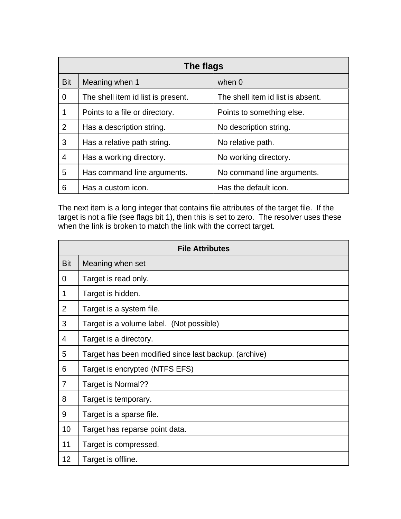|                | The flags                          |                                   |  |  |  |  |  |  |
|----------------|------------------------------------|-----------------------------------|--|--|--|--|--|--|
| <b>Bit</b>     | Meaning when 1                     | when $0$                          |  |  |  |  |  |  |
| $\overline{0}$ | The shell item id list is present. | The shell item id list is absent. |  |  |  |  |  |  |
| 1              | Points to a file or directory.     | Points to something else.         |  |  |  |  |  |  |
| 2              | Has a description string.          | No description string.            |  |  |  |  |  |  |
| 3              | Has a relative path string.        | No relative path.                 |  |  |  |  |  |  |
| $\overline{4}$ | Has a working directory.           | No working directory.             |  |  |  |  |  |  |
| 5              | Has command line arguments.        | No command line arguments.        |  |  |  |  |  |  |
| 6              | Has a custom icon.                 | Has the default icon.             |  |  |  |  |  |  |

The next item is a long integer that contains file attributes of the target file. If the target is not a file (see flags bit 1), then this is set to zero. The resolver uses these when the link is broken to match the link with the correct target.

|                | <b>File Attributes</b>                                |  |  |  |  |  |  |
|----------------|-------------------------------------------------------|--|--|--|--|--|--|
| <b>Bit</b>     | Meaning when set                                      |  |  |  |  |  |  |
| 0              | Target is read only.                                  |  |  |  |  |  |  |
| $\mathbf 1$    | Target is hidden.                                     |  |  |  |  |  |  |
| $\overline{2}$ | Target is a system file.                              |  |  |  |  |  |  |
| 3              | Target is a volume label. (Not possible)              |  |  |  |  |  |  |
| 4              | Target is a directory.                                |  |  |  |  |  |  |
| 5              | Target has been modified since last backup. (archive) |  |  |  |  |  |  |
| 6              | Target is encrypted (NTFS EFS)                        |  |  |  |  |  |  |
| $\overline{7}$ | Target is Normal??                                    |  |  |  |  |  |  |
| 8              | Target is temporary.                                  |  |  |  |  |  |  |
| 9              | Target is a sparse file.                              |  |  |  |  |  |  |
| 10             | Target has reparse point data.                        |  |  |  |  |  |  |
| 11             | Target is compressed.                                 |  |  |  |  |  |  |
| 12             | Target is offline.                                    |  |  |  |  |  |  |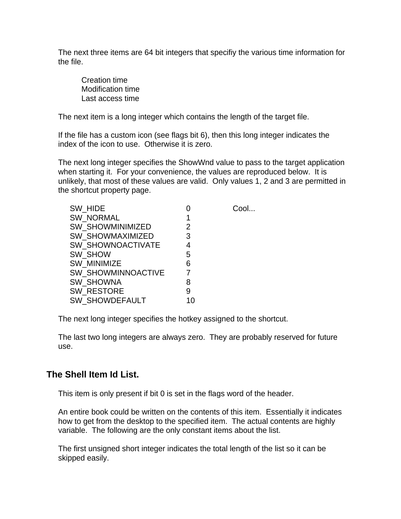The next three items are 64 bit integers that specifiy the various time information for the file.

Creation time Modification time Last access time

The next item is a long integer which contains the length of the target file.

If the file has a custom icon (see flags bit 6), then this long integer indicates the index of the icon to use. Otherwise it is zero.

The next long integer specifies the ShowWnd value to pass to the target application when starting it. For your convenience, the values are reproduced below. It is unlikely, that most of these values are valid. Only values 1, 2 and 3 are permitted in the shortcut property page.

|    | Cool |
|----|------|
| 1  |      |
| 2  |      |
| 3  |      |
| 4  |      |
| 5  |      |
| 6  |      |
| 7  |      |
| 8  |      |
| 9  |      |
| 10 |      |
|    |      |

The next long integer specifies the hotkey assigned to the shortcut.

The last two long integers are always zero. They are probably reserved for future use.

# **The Shell Item Id List.**

This item is only present if bit 0 is set in the flags word of the header.

An entire book could be written on the contents of this item. Essentially it indicates how to get from the desktop to the specified item. The actual contents are highly variable. The following are the only constant items about the list.

The first unsigned short integer indicates the total length of the list so it can be skipped easily.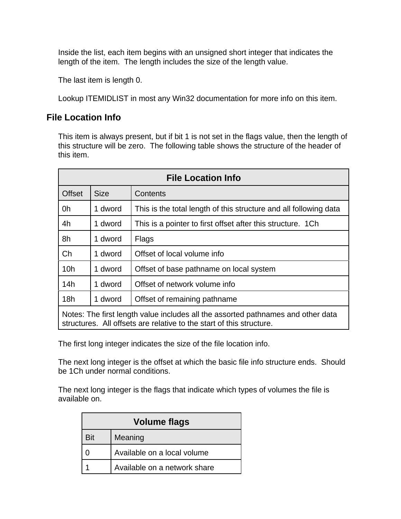Inside the list, each item begins with an unsigned short integer that indicates the length of the item. The length includes the size of the length value.

The last item is length 0.

Lookup ITEMIDLIST in most any Win32 documentation for more info on this item.

#### **File Location Info**

This item is always present, but if bit 1 is not set in the flags value, then the length of this structure will be zero. The following table shows the structure of the header of this item.

| <b>File Location Info</b>                                                                                                                                |             |                                                                   |  |  |  |  |  |  |
|----------------------------------------------------------------------------------------------------------------------------------------------------------|-------------|-------------------------------------------------------------------|--|--|--|--|--|--|
| <b>Offset</b>                                                                                                                                            | <b>Size</b> | Contents                                                          |  |  |  |  |  |  |
| 0h                                                                                                                                                       | 1 dword     | This is the total length of this structure and all following data |  |  |  |  |  |  |
| 4h                                                                                                                                                       | 1 dword     | This is a pointer to first offset after this structure. 1Ch.      |  |  |  |  |  |  |
| 8h                                                                                                                                                       | 1 dword     | Flags                                                             |  |  |  |  |  |  |
| Ch                                                                                                                                                       | 1 dword     | Offset of local volume info                                       |  |  |  |  |  |  |
| 10 <sub>h</sub>                                                                                                                                          | 1 dword     | Offset of base pathname on local system                           |  |  |  |  |  |  |
| 14h                                                                                                                                                      | 1 dword     | Offset of network volume info                                     |  |  |  |  |  |  |
| 18h                                                                                                                                                      | 1 dword     | Offset of remaining pathname                                      |  |  |  |  |  |  |
| Notes: The first length value includes all the assorted pathnames and other data<br>structures. All offsets are relative to the start of this structure. |             |                                                                   |  |  |  |  |  |  |

The first long integer indicates the size of the file location info.

The next long integer is the offset at which the basic file info structure ends. Should be 1Ch under normal conditions.

The next long integer is the flags that indicate which types of volumes the file is available on.

| <b>Volume flags</b> |                              |  |  |  |  |  |
|---------------------|------------------------------|--|--|--|--|--|
| <b>Bit</b>          | Meaning                      |  |  |  |  |  |
|                     | Available on a local volume  |  |  |  |  |  |
|                     | Available on a network share |  |  |  |  |  |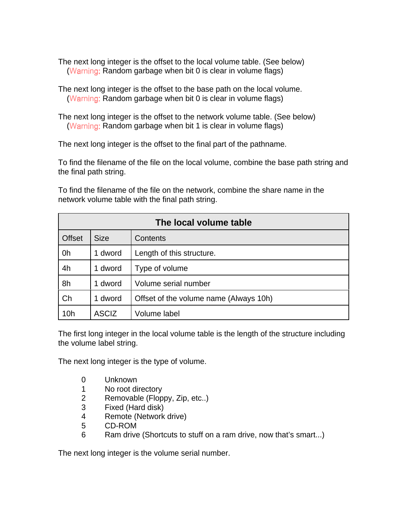The next long integer is the offset to the local volume table. (See below) (Warning: Random garbage when bit  $0$  is clear in volume flags)

The next long integer is the offset to the base path on the local volume. (Warning: Random garbage when bit  $0$  is clear in volume flags)

The next long integer is the offset to the network volume table. (See below) (Warning: Random garbage when bit 1 is clear in volume flags)

The next long integer is the offset to the final part of the pathname.

To find the filename of the file on the local volume, combine the base path string and the final path string.

To find the filename of the file on the network, combine the share name in the network volume table with the final path string.

| The local volume table |              |                                        |  |  |  |  |  |
|------------------------|--------------|----------------------------------------|--|--|--|--|--|
| <b>Offset</b>          | <b>Size</b>  | <b>Contents</b>                        |  |  |  |  |  |
| 0h                     | dword<br>1.  | Length of this structure.              |  |  |  |  |  |
| 4h                     | 1 dword      | Type of volume                         |  |  |  |  |  |
| 8h                     | 1 dword      | Volume serial number                   |  |  |  |  |  |
| Ch                     | 1 dword      | Offset of the volume name (Always 10h) |  |  |  |  |  |
| 10 <sub>h</sub>        | <b>ASCIZ</b> | Volume label                           |  |  |  |  |  |

The first long integer in the local volume table is the length of the structure including the volume label string.

The next long integer is the type of volume.

- 0 Unknown
- 1 No root directory
- 2 Removable (Floppy, Zip, etc..)
- 3 Fixed (Hard disk)
- 4 Remote (Network drive)
- 5 CD-ROM
- 6 Ram drive (Shortcuts to stuff on a ram drive, now that's smart...)

The next long integer is the volume serial number.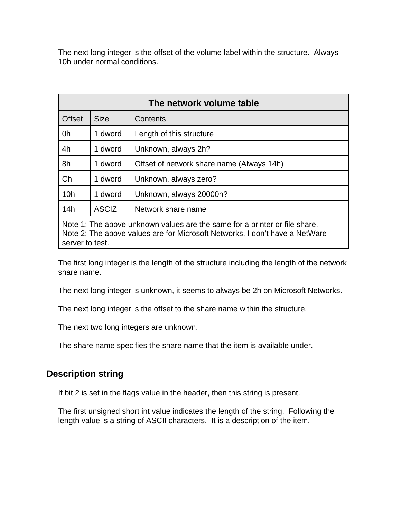The next long integer is the offset of the volume label within the structure. Always 10h under normal conditions.

| The network volume table                                                                                                                                  |                                    |                                           |  |  |  |  |  |  |
|-----------------------------------------------------------------------------------------------------------------------------------------------------------|------------------------------------|-------------------------------------------|--|--|--|--|--|--|
| <b>Offset</b>                                                                                                                                             | <b>Size</b>                        | Contents                                  |  |  |  |  |  |  |
| 0h                                                                                                                                                        | 1 dword                            | Length of this structure                  |  |  |  |  |  |  |
| 4h                                                                                                                                                        | 1 dword                            | Unknown, always 2h?                       |  |  |  |  |  |  |
| 8h                                                                                                                                                        | 1 dword                            | Offset of network share name (Always 14h) |  |  |  |  |  |  |
| Ch                                                                                                                                                        | 1 dword                            | Unknown, always zero?                     |  |  |  |  |  |  |
| 10 <sub>h</sub>                                                                                                                                           | 1 dword                            | Unknown, always 20000h?                   |  |  |  |  |  |  |
| 14h                                                                                                                                                       | <b>ASCIZ</b><br>Network share name |                                           |  |  |  |  |  |  |
| Note 1: The above unknown values are the same for a printer or file share.<br>Note 2: The above values are for Microsoft Networks, I don't have a NetWare |                                    |                                           |  |  |  |  |  |  |

server to test.

The first long integer is the length of the structure including the length of the network share name.

The next long integer is unknown, it seems to always be 2h on Microsoft Networks.

The next long integer is the offset to the share name within the structure.

The next two long integers are unknown.

The share name specifies the share name that the item is available under.

# **Description string**

If bit 2 is set in the flags value in the header, then this string is present.

The first unsigned short int value indicates the length of the string. Following the length value is a string of ASCII characters. It is a description of the item.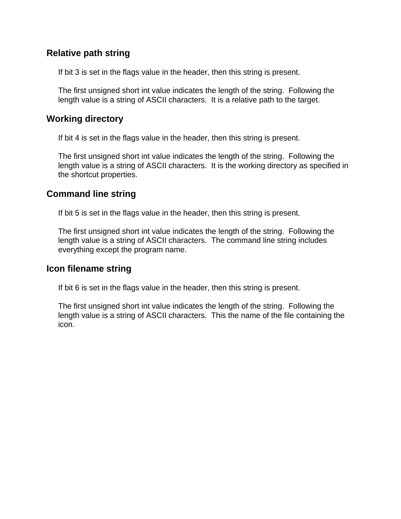# **Relative path string**

If bit 3 is set in the flags value in the header, then this string is present.

The first unsigned short int value indicates the length of the string. Following the length value is a string of ASCII characters. It is a relative path to the target.

#### **Working directory**

If bit 4 is set in the flags value in the header, then this string is present.

The first unsigned short int value indicates the length of the string. Following the length value is a string of ASCII characters. It is the working directory as specified in the shortcut properties.

#### **Command line string**

If bit 5 is set in the flags value in the header, then this string is present.

The first unsigned short int value indicates the length of the string. Following the length value is a string of ASCII characters. The command line string includes everything except the program name.

#### **Icon filename string**

If bit 6 is set in the flags value in the header, then this string is present.

The first unsigned short int value indicates the length of the string. Following the length value is a string of ASCII characters. This the name of the file containing the icon.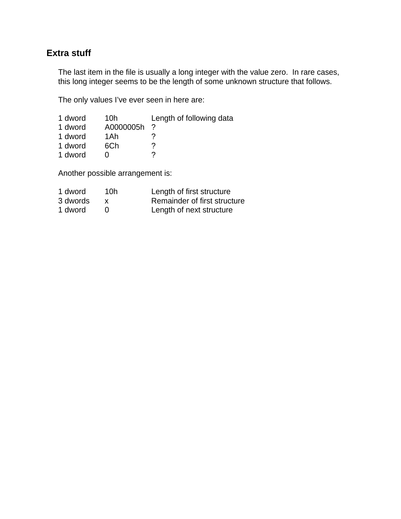# **Extra stuff**

The last item in the file is usually a long integer with the value zero. In rare cases, this long integer seems to be the length of some unknown structure that follows.

The only values I've ever seen in here are:

| 1 dword | 10h       | Length of following data |
|---------|-----------|--------------------------|
| 1 dword | A0000005h |                          |
| 1 dword | 1Ah       |                          |
| 1 dword | 6Ch       |                          |
| 1 dword |           |                          |

Another possible arrangement is:

| 1 dword  | 10h | Length of first structure    |
|----------|-----|------------------------------|
| 3 dwords |     | Remainder of first structure |
| 1 dword  |     | Length of next structure     |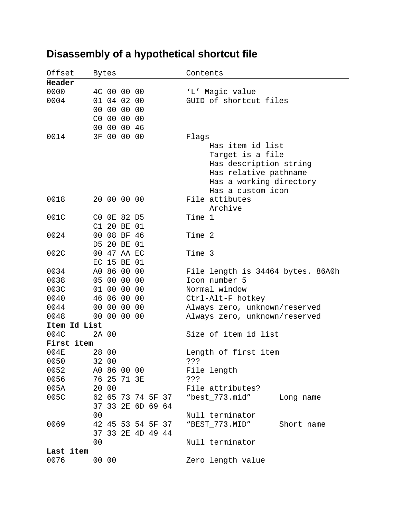| Offset       |                | Bytes |                            |                   | Contents |                                   |            |
|--------------|----------------|-------|----------------------------|-------------------|----------|-----------------------------------|------------|
| Header       |                |       |                            |                   |          |                                   |            |
| 0000         |                |       | 4C 00 00 00                |                   |          | 'L' Magic value                   |            |
| 0004         |                |       | 01 04 02 00                |                   |          | GUID of shortcut files            |            |
|              |                |       | 00 00 00 00                |                   |          |                                   |            |
|              | CO             |       | 00 00 00                   |                   |          |                                   |            |
|              | 00             |       | 00 00 46                   |                   |          |                                   |            |
| 0014         |                |       | 3F 00 00 00                |                   | Flags    |                                   |            |
|              |                |       |                            |                   |          | Has item id list                  |            |
|              |                |       |                            |                   |          | Target is a file                  |            |
|              |                |       |                            |                   |          | Has description string            |            |
|              |                |       |                            |                   |          | Has relative pathname             |            |
|              |                |       |                            |                   |          | Has a working directory           |            |
|              |                |       |                            |                   |          | Has a custom icon                 |            |
| 0018         |                |       | 20 00 00 00                |                   |          | File attibutes                    |            |
|              |                |       |                            |                   |          | Archive                           |            |
| 001C         |                |       | CO OE 82 D5                |                   | Time 1   |                                   |            |
|              |                |       | C1 20 BE 01                |                   |          |                                   |            |
| 0024         |                |       | 00 08 BF 46<br>20 BE 01    |                   | Time 2   |                                   |            |
|              | D5             |       |                            |                   |          |                                   |            |
| 002C         |                |       | 00 47 AA EC<br>EC 15 BE 01 |                   | Time 3   |                                   |            |
| 0034         |                |       | A0 86 00 00                |                   |          | File length is 34464 bytes. 86A0h |            |
| 0038         |                | 05 00 | 00 00                      |                   |          | Icon number 5                     |            |
| 003C         |                | 01 00 | 00 00                      |                   |          | Normal window                     |            |
| 0040         |                |       | 46 06 00 00                |                   |          | Ctrl-Alt-F hotkey                 |            |
| 0044         |                |       | 00 00 00 00                |                   |          | Always zero, unknown/reserved     |            |
| 0048         |                |       | 00 00 00 00                |                   |          | Always zero, unknown/reserved     |            |
| Item Id List |                |       |                            |                   |          |                                   |            |
| 004C         |                | 2A 00 |                            |                   |          | Size of item id list              |            |
| First item   |                |       |                            |                   |          |                                   |            |
| 004E         |                | 28 00 |                            |                   |          | Length of first item              |            |
| 0050         |                | 32 00 |                            |                   | 3.5.5    |                                   |            |
| 0052         |                |       | A0 86 00 00                |                   |          | File length                       |            |
| 0056         |                |       | 76 25 71 3E                |                   | ? ? ?    |                                   |            |
| 005A         |                | 20 00 |                            |                   |          | File attributes?                  |            |
| 005C         |                |       |                            | 62 65 73 74 5F 37 |          | "best_773.mid"                    | Long name  |
|              |                |       |                            | 37 33 2E 6D 69 64 |          |                                   |            |
|              | 0 <sub>0</sub> |       |                            |                   |          | Null terminator                   |            |
| 0069         |                |       |                            | 42 45 53 54 5F 37 |          | "BEST_773.MID"                    | Short name |
|              |                |       |                            | 37 33 2E 4D 49 44 |          |                                   |            |
|              | 0 <sub>0</sub> |       |                            |                   |          | Null terminator                   |            |
| Last item    |                |       |                            |                   |          |                                   |            |
| 0076         |                | 00 00 |                            |                   |          | Zero length value                 |            |

# **Disassembly of a hypothetical shortcut file**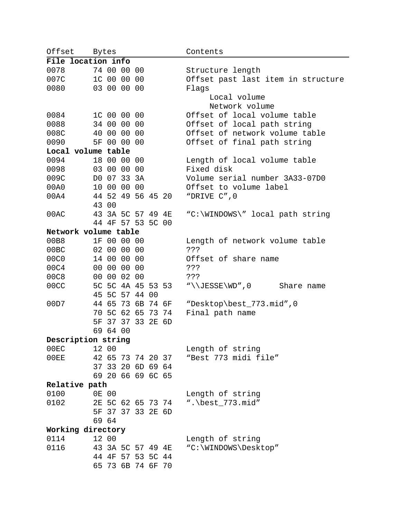| Offset |                      | Bytes    |             |                   |       |                   | Contents                           |
|--------|----------------------|----------|-------------|-------------------|-------|-------------------|------------------------------------|
|        | File location info   |          |             |                   |       |                   |                                    |
| 0078   |                      |          | 74 00 00 00 |                   |       |                   | Structure length                   |
| 007C   |                      |          | 1C 00 00 00 |                   |       |                   | Offset past last item in structure |
| 0080   |                      |          | 03 00 00 00 |                   |       |                   | Flaqs                              |
|        |                      |          |             |                   |       |                   | Local volume                       |
|        |                      |          |             |                   |       |                   | Network volume                     |
| 0084   |                      |          | 1C 00 00 00 |                   |       |                   | Offset of local volume table       |
| 0088   |                      |          | 34 00 00 00 |                   |       |                   | Offset of local path string        |
| 008C   |                      |          | 40 00 00 00 |                   |       |                   | Offset of network volume table     |
| 0090   | 5F                   |          | 00 00 00    |                   |       |                   | Offset of final path string        |
|        | Local volume table   |          |             |                   |       |                   |                                    |
| 0094   |                      |          | 18 00 00 00 |                   |       |                   | Length of local volume table       |
| 0098   |                      |          | 03 00 00 00 |                   |       |                   | Fixed disk                         |
| 009C   |                      |          | DO 07 33 3A |                   |       |                   | Volume serial number 3A33-07D0     |
| 00A0   |                      |          | 10 00 00 00 |                   |       |                   | Offset to volume label             |
| 00A4   |                      |          |             | 44 52 49 56 45 20 |       |                   | "DRIVE C", 0                       |
|        |                      | 43 00    |             |                   |       |                   |                                    |
| 00AC   |                      |          |             | 43 3A 5C 57 49 4E |       |                   | "C:\WINDOWS\" local path string    |
|        |                      |          |             | 44 4F 57 53 5C 00 |       |                   |                                    |
|        | Network volume table |          |             |                   |       |                   |                                    |
| 00B8   |                      |          | 1F 00 00 00 |                   |       |                   | Length of network volume table     |
| 00BC   |                      |          | 02 00 00 00 |                   |       |                   | ? ? ?                              |
| 00C0   |                      |          | 14 00 00 00 |                   |       |                   | Offset of share name               |
| 00C4   |                      |          | 00 00 00 00 |                   |       |                   | 5.5.5                              |
| 00C8   |                      |          | 00 00 02 00 |                   |       |                   | 5.5.5                              |
| 00CC   |                      |          | 5C 5C 4A 45 |                   |       | 53 53             | "\\JESSE\WD",0<br>Share name       |
|        | 45                   |          | 5C 57 44    |                   | 00    |                   |                                    |
| 00D7   |                      | 44 65    | 73          | 6B                | 74 6F |                   | "Desktop\best_773.mid",0           |
|        | 70                   |          | 5C 62 65    |                   | 73 74 |                   | Final path name                    |
|        | 5F                   |          | 37 37 33    |                   | 2E 6D |                   |                                    |
|        |                      | 69 64 00 |             |                   |       |                   |                                    |
|        | Description string   |          |             |                   |       |                   |                                    |
| 00EC   |                      | 12 00    |             |                   |       |                   | Length of string                   |
| 00EE   |                      |          |             | 42 65 73 74 20 37 |       |                   | "Best 773 midi file"               |
|        |                      |          |             | 37 33 20 6D 69 64 |       |                   |                                    |
|        |                      |          |             | 69 20 66 69 6C 65 |       |                   |                                    |
|        | Relative path        |          |             |                   |       |                   |                                    |
| 0100   |                      | 0E 00    |             |                   |       |                   | Length of string                   |
| 0102   |                      |          |             |                   |       | 2E 5C 62 65 73 74 | ". \best_773. $mid$ "              |
|        |                      |          |             | 5F 37 37 33 2E 6D |       |                   |                                    |
|        |                      | 69 64    |             |                   |       |                   |                                    |
|        | Working directory    |          |             |                   |       |                   |                                    |
| 0114   |                      | 12 00    |             |                   |       |                   | Length of string                   |
| 0116   |                      |          |             | 43 3A 5C 57 49 4E |       |                   | "C:\WINDOWS\Desktop"               |
|        |                      |          |             | 44 4F 57 53 5C 44 |       |                   |                                    |
|        |                      |          |             | 65 73 6B 74 6F 70 |       |                   |                                    |

 $\overline{\phantom{0}}$